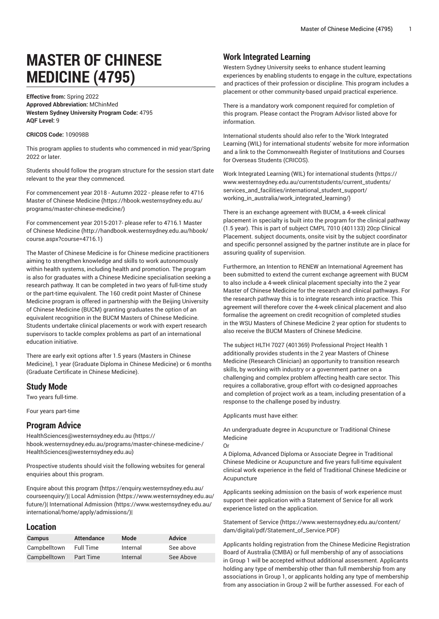# **MASTER OF CHINESE MEDICINE (4795)**

**Effective from:** Spring 2022 **Approved Abbreviation:** MChinMed **Western Sydney University Program Code:** 4795 **AQF Level:** 9

#### **CRICOS Code:** 109098B

This program applies to students who commenced in mid year/Spring 2022 or later.

Students should follow the program structure for the session start date relevant to the year they commenced.

For [commencement](https://hbook.westernsydney.edu.au/programs/master-chinese-medicine/) year 2018 - Autumn 2022 - please refer to 4716 [Master of Chinese Medicine](https://hbook.westernsydney.edu.au/programs/master-chinese-medicine/) ([https://hbook.westernsydney.edu.au/](https://hbook.westernsydney.edu.au/programs/master-chinese-medicine/) [programs/master-chinese-medicine/\)](https://hbook.westernsydney.edu.au/programs/master-chinese-medicine/)

For [commencement](http://handbook.westernsydney.edu.au/hbook/course.aspx?course=4716.1) year 2015-2017- please refer to 4716.1 Master [of Chinese Medicine](http://handbook.westernsydney.edu.au/hbook/course.aspx?course=4716.1) ([http://handbook.westernsydney.edu.au/hbook/](http://handbook.westernsydney.edu.au/hbook/course.aspx?course=4716.1) [course.aspx?course=4716.1](http://handbook.westernsydney.edu.au/hbook/course.aspx?course=4716.1))

The Master of Chinese Medicine is for Chinese medicine practitioners aiming to strengthen knowledge and skills to work autonomously within health systems, including health and promotion. The program is also for graduates with a Chinese Medicine specialisation seeking a research pathway. It can be completed in two years of full-time study or the part-time equivalent. The 160 credit point Master of Chinese Medicine program is offered in partnership with the Beijing University of Chinese Medicine (BUCM) granting graduates the option of an equivalent recognition in the BUCM Masters of Chinese Medicine. Students undertake clinical placements or work with expert research supervisors to tackle complex problems as part of an international education initiative.

There are early exit options after 1.5 years (Masters in Chinese Medicine), 1 year (Graduate Diploma in Chinese Medicine) or 6 months (Graduate Certificate in Chinese Medicine).

#### **Study Mode**

Two years full-time.

Four years part-time

#### **Program Advice**

[HealthSciences@westernsydney.edu.au](https://hbook.westernsydney.edu.au/programs/master-chinese-medicine-/HealthSciences@westernsydney.edu.au) [\(https://](https://hbook.westernsydney.edu.au/programs/master-chinese-medicine-/HealthSciences@westernsydney.edu.au) [hbook.westernsydney.edu.au/programs/master-chinese-medicine-/](https://hbook.westernsydney.edu.au/programs/master-chinese-medicine-/HealthSciences@westernsydney.edu.au) [HealthSciences@westernsydney.edu.au](https://hbook.westernsydney.edu.au/programs/master-chinese-medicine-/HealthSciences@westernsydney.edu.au))

Prospective students should visit the following websites for general enquiries about this program.

Enquire about this [program \(https://enquiry.westernsydney.edu.au/](https://enquiry.westernsydney.edu.au/courseenquiry/) [courseenquiry/](https://enquiry.westernsydney.edu.au/courseenquiry/))| [Local Admission \(https://www.westernsydney.edu.au/](https://www.westernsydney.edu.au/future/) [future/\)](https://www.westernsydney.edu.au/future/)| [International Admission](https://www.westernsydney.edu.au/international/home/apply/admissions/) ([https://www.westernsydney.edu.au/](https://www.westernsydney.edu.au/international/home/apply/admissions/) [international/home/apply/admissions/](https://www.westernsydney.edu.au/international/home/apply/admissions/))|

## **Location**

| <b>Campus</b> | <b>Attendance</b> | Mode     | <b>Advice</b> |
|---------------|-------------------|----------|---------------|
| Campbelltown  | <b>Full Time</b>  | Internal | See above     |
| Campbelltown  | <b>Part Time</b>  | Internal | See Above     |

### **Work Integrated Learning**

Western Sydney University seeks to enhance student learning experiences by enabling students to engage in the culture, expectations and practices of their profession or discipline. This program includes a placement or other community-based unpaid practical experience.

There is a mandatory work component required for completion of this program. Please contact the Program Advisor listed above for information.

International students should also refer to the 'Work Integrated Learning (WIL) for international students' website for more information and a link to the Commonwealth Register of Institutions and Courses for Overseas Students (CRICOS).

Work Integrated Learning (WIL) for [international](https://www.westernsydney.edu.au/currentstudents/current_students/services_and_facilities/international_student_support/working_in_australia/work_integrated_learning/) students ([https://](https://www.westernsydney.edu.au/currentstudents/current_students/services_and_facilities/international_student_support/working_in_australia/work_integrated_learning/) [www.westernsydney.edu.au/currentstudents/current\\_students/](https://www.westernsydney.edu.au/currentstudents/current_students/services_and_facilities/international_student_support/working_in_australia/work_integrated_learning/) [services\\_and\\_facilities/international\\_student\\_support/](https://www.westernsydney.edu.au/currentstudents/current_students/services_and_facilities/international_student_support/working_in_australia/work_integrated_learning/) [working\\_in\\_australia/work\\_integrated\\_learning/](https://www.westernsydney.edu.au/currentstudents/current_students/services_and_facilities/international_student_support/working_in_australia/work_integrated_learning/))

There is an exchange agreement with BUCM, a 4-week clinical placement in specialty is built into the program for the clinical pathway (1.5 year). This is part of subject CMPL 7010 (401133) 20cp Clinical Placement. subject documents, onsite visit by the subject coordinator and specific personnel assigned by the partner institute are in place for assuring quality of supervision.

Furthermore, an Intention to RENEW an International Agreement has been submitted to extend the current exchange agreement with BUCM to also include a 4-week clinical placement specialty into the 2 year Master of Chinese Medicine for the research and clinical pathways. For the research pathway this is to integrate research into practice. This agreement will therefore cover the 4-week clinical placement and also formalise the agreement on credit recognition of completed studies in the WSU Masters of Chinese Medicine 2 year option for students to also receive the BUCM Masters of Chinese Medicine.

The subject HLTH 7027 (401369) Professional Project Health 1 additionally provides students in the 2 year Masters of Chinese Medicine (Research Clinician) an opportunity to transition research skills, by working with industry or a government partner on a challenging and complex problem affecting health care sector. This requires a collaborative, group effort with co-designed approaches and completion of project work as a team, including presentation of a response to the challenge posed by industry.

Applicants must have either:

Or

An undergraduate degree in Acupuncture or Traditional Chinese Medicine

A Diploma, Advanced Diploma or Associate Degree in Traditional Chinese Medicine or Acupuncture and five years full-time equivalent clinical work experience in the field of Traditional Chinese Medicine or Acupuncture

Applicants seeking admission on the basis of work experience must support their application with a Statement of Service for all work experience listed on the application.

[Statement](https://www.westernsydney.edu.au/content/dam/digital/pdf/Statement_of_Service.PDF) of Service [\(https://www.westernsydney.edu.au/content/](https://www.westernsydney.edu.au/content/dam/digital/pdf/Statement_of_Service.PDF) [dam/digital/pdf/Statement\\_of\\_Service.PDF](https://www.westernsydney.edu.au/content/dam/digital/pdf/Statement_of_Service.PDF))

Applicants holding registration from the Chinese Medicine Registration Board of Australia (CMBA) or full membership of any of associations in Group 1 will be accepted without additional assessment. Applicants holding any type of membership other than full membership from any associations in Group 1, or applicants holding any type of membership from any association in Group 2 will be further assessed. For each of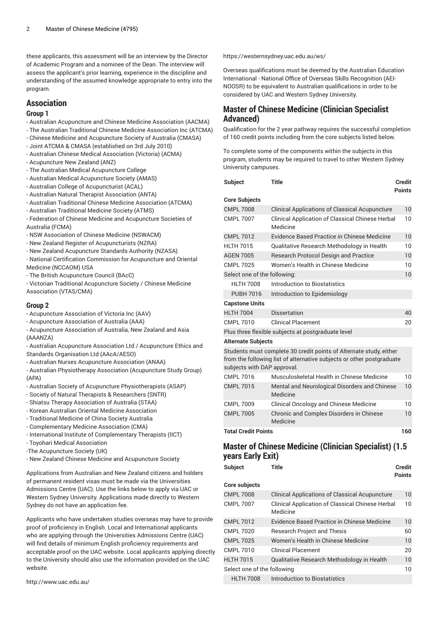these applicants, this assessment will be an interview by the Director of Academic Program and a nominee of the Dean. The interview will assess the applicant's prior learning, experience in the discipline and understanding of the assumed knowledge appropriate to entry into the program.

#### **Association**

#### **Group 1**

- Australian Acupuncture and Chinese Medicine Association (AACMA)
- The Australian Traditional Chinese Medicine Association Inc (ATCMA)
- Chinese Medicine and Acupuncture Society of Australia (CMASA)
- Joint ATCMA & CMASA (established on 3rd July 2010)
- Australian Chinese Medical Association (Victoria) (ACMA)
- Acupuncture New Zealand (ANZ)
- The Australian Medical Acupuncture College
- Australian Medical Acupuncture Society (AMAS)
- Australian College of Acupuncturist (ACAL)
- Australian Natural Therapist Association (ANTA)
- Australian Traditional Chinese Medicine Association (ATCMA)
- Australian Traditional Medicine Society (ATMS)
- Federation of Chinese Medicine and Acupuncture Societies of Australia (FCMA)
- NSW Association of Chinese Medicine (NSWACM)
- New Zealand Register of Acupuncturists (NZRA)
- New Zealand Acupuncture Standards Authority (NZASA)
- National Certification Commission for Acupuncture and Oriental Medicine (NCCAOM) USA
- The British Acupuncture Council (BAcC)
- Victorian Traditional Acupuncture Society / Chinese Medicine Association (VTAS/CMA)

#### **Group 2**

- Acupuncture Association of Victoria Inc (AAV)
- Acupuncture Association of Australia (AAA)
- Acupuncture Association of Australia, New Zealand and Asia (AAANZA)
- Australian Acupuncture Association Ltd / Acupuncture Ethics and Standards Organisation Ltd (AAcA/AESO)
- Australian Nurses Acupuncture Association (ANAA)
- Australian Physiotherapy Association (Acupuncture Study Group) (APA)
- Australian Society of Acupuncture Physiotherapists (ASAP)
- Society of Natural Therapists & Researchers (SNTR)
- Shiatsu Therapy Association of Australia (STAA)
- Korean Australian Oriental Medicine Association
- Traditional Medicine of China Society Australia
- Complementary Medicine Association (CMA)
- International Institute of Complementary Therapists (IICT)
- Toyohari Medical Association
- -The Acupuncture Society (UK)
- New Zealand Chinese Medicine and Acupuncture Society

Applications from Australian and New Zealand citizens and holders of permanent resident visas must be made via the Universities Admissions Centre (UAC). Use the links below to apply via UAC or Western Sydney University. Applications made directly to Western Sydney do not have an application fee.

Applicants who have undertaken studies overseas may have to provide proof of proficiency in English. Local and International applicants who are applying through the Universities Admissions Centre (UAC) will find details of minimum English proficiency requirements and acceptable proof on the UAC website. Local applicants applying directly to the University should also use the information provided on the UAC website.

<http://www.uac.edu.au/>

<https://westernsydney.uac.edu.au/ws/>

Overseas qualifications must be deemed by the Australian Education International - National Office of Overseas Skills Recognition (AEI-NOOSR) to be equivalent to Australian qualifications in order to be considered by UAC and Western Sydney University.

## **Master of Chinese Medicine (Clinician Specialist Advanced)**

Qualification for the 2 year pathway requires the successful completion of 160 credit points including from the core subjects listed below.

To complete some of the components within the subjects in this program, students may be required to travel to other Western Sydney University campuses.

| <b>Subject</b>                                                                                                                                                             | <b>Title</b>                                                 | <b>Credit</b><br><b>Points</b> |
|----------------------------------------------------------------------------------------------------------------------------------------------------------------------------|--------------------------------------------------------------|--------------------------------|
| <b>Core Subjects</b>                                                                                                                                                       |                                                              |                                |
| <b>CMPL 7008</b>                                                                                                                                                           | <b>Clinical Applications of Classical Acupuncture</b>        | 10                             |
| <b>CMPL 7007</b>                                                                                                                                                           | Clinical Application of Classical Chinese Herbal<br>Medicine | 10                             |
| <b>CMPL 7012</b>                                                                                                                                                           | Evidence Based Practice in Chinese Medicine                  | 10                             |
| <b>HLTH 7015</b>                                                                                                                                                           | Qualitative Research Methodology in Health                   | 10                             |
| <b>AGEN 7005</b>                                                                                                                                                           | <b>Research Protocol Design and Practice</b>                 | 10                             |
| <b>CMPL 7025</b>                                                                                                                                                           | Women's Health in Chinese Medicine                           | 10                             |
| Select one of the following:                                                                                                                                               |                                                              | 10                             |
| <b>HLTH 7008</b>                                                                                                                                                           | Introduction to Biostatistics                                |                                |
| <b>PUBH 7016</b>                                                                                                                                                           | Introduction to Epidemiology                                 |                                |
| <b>Capstone Units</b>                                                                                                                                                      |                                                              |                                |
| <b>HLTH 7004</b>                                                                                                                                                           | Dissertation                                                 | 40                             |
| CMPI 7010                                                                                                                                                                  | <b>Clinical Placement</b>                                    | 20                             |
|                                                                                                                                                                            | Plus three flexible subjects at postgraduate level           |                                |
| <b>Alternate Subjects</b>                                                                                                                                                  |                                                              |                                |
| Students must complete 30 credit points of Alternate study, either<br>from the following list of alternative subjects or other postgraduate<br>subjects with DAP approval. |                                                              |                                |
| <b>CMPL 7016</b>                                                                                                                                                           | Musculoskeletal Health in Chinese Medicine                   | 10                             |
| <b>CMPL 7015</b>                                                                                                                                                           | Mental and Neurological Disorders and Chinese<br>Medicine    | 10                             |
| <b>CMPL 7009</b>                                                                                                                                                           | <b>Clinical Oncology and Chinese Medicine</b>                | 10                             |
| <b>CMPL 7005</b>                                                                                                                                                           | Chronic and Complex Disorders in Chinese<br>Medicine         | 10                             |
| <b>Total Credit Points</b>                                                                                                                                                 |                                                              | 160                            |

## **Master of Chinese Medicine (Clinician Specialist) (1.5 years Early Exit)**

| Subject | <b>Title</b> | <b>Credit</b> |
|---------|--------------|---------------|
|         |              | <b>Points</b> |

| Core subjects               |                                                              |    |
|-----------------------------|--------------------------------------------------------------|----|
| <b>CMPL 7008</b>            | <b>Clinical Applications of Classical Acupuncture</b>        | 10 |
| <b>CMPL 7007</b>            | Clinical Application of Classical Chinese Herbal<br>Medicine | 10 |
| <b>CMPL 7012</b>            | Evidence Based Practice in Chinese Medicine                  | 10 |
| <b>CMPL 7020</b>            | <b>Research Project and Thesis</b>                           | 60 |
| <b>CMPL 7025</b>            | Women's Health in Chinese Medicine                           | 10 |
| CMPL 7010                   | <b>Clinical Placement</b>                                    | 20 |
| <b>HLTH 7015</b>            | Qualitative Research Methodology in Health                   | 10 |
| Select one of the following |                                                              | 10 |
| <b>HLTH 7008</b>            | Introduction to Biostatistics                                |    |